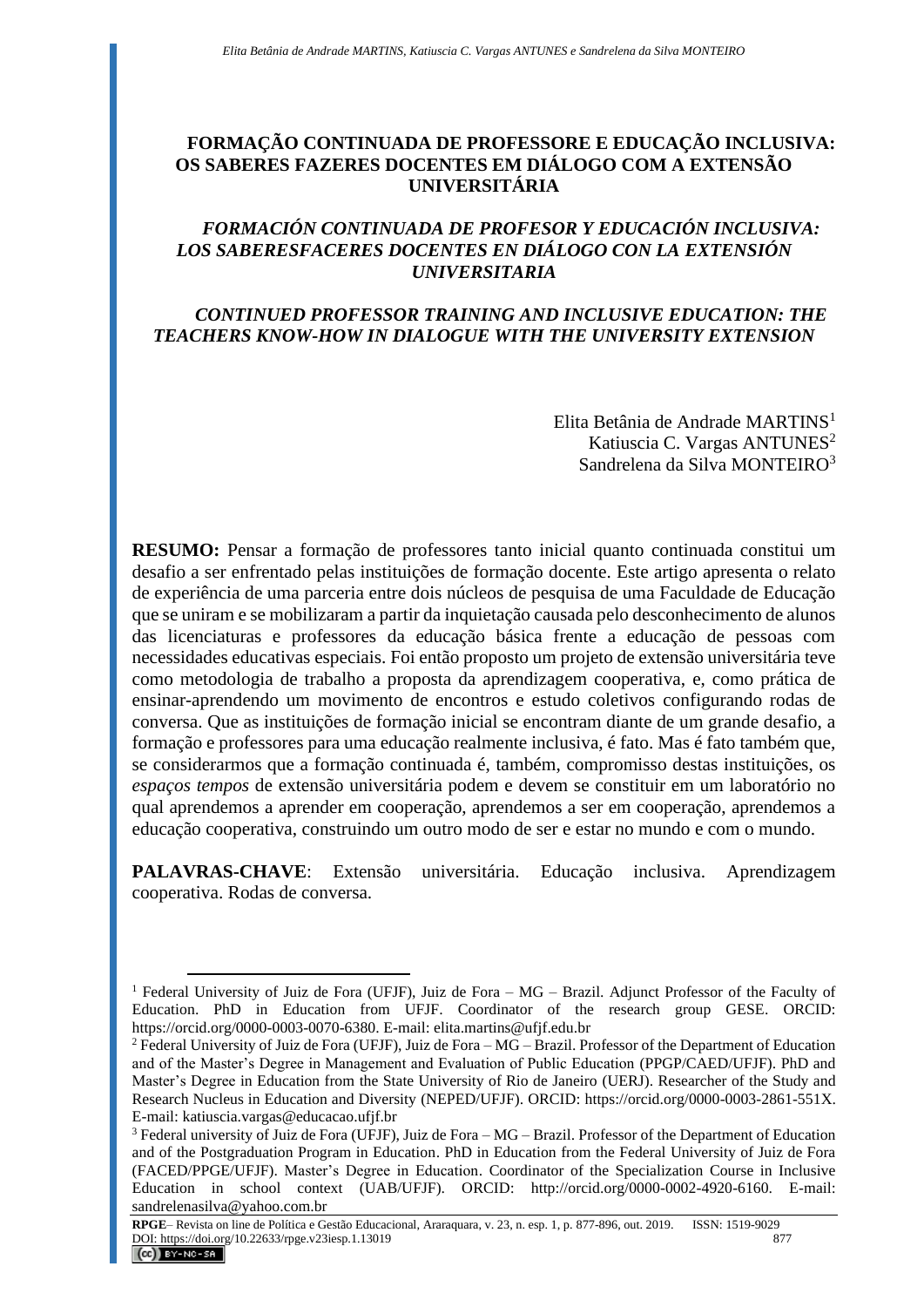# **FORMAÇÃO CONTINUADA DE PROFESSORE E EDUCAÇÃO INCLUSIVA: OS SABERES FAZERES DOCENTES EM DIÁLOGO COM A EXTENSÃO UNIVERSITÁRIA**

# *FORMACIÓN CONTINUADA DE PROFESOR Y EDUCACIÓN INCLUSIVA: LOS SABERESFACERES DOCENTES EN DIÁLOGO CON LA EXTENSIÓN UNIVERSITARIA*

## *CONTINUED PROFESSOR TRAINING AND INCLUSIVE EDUCATION: THE TEACHERS KNOW-HOW IN DIALOGUE WITH THE UNIVERSITY EXTENSION*

Elita Betânia de Andrade MARTINS<sup>1</sup> Katiuscia C. Vargas ANTUNES<sup>2</sup> Sandrelena da Silva MONTEIRO<sup>3</sup>

**RESUMO:** Pensar a formação de professores tanto inicial quanto continuada constitui um desafio a ser enfrentado pelas instituições de formação docente. Este artigo apresenta o relato de experiência de uma parceria entre dois núcleos de pesquisa de uma Faculdade de Educação que se uniram e se mobilizaram a partir da inquietação causada pelo desconhecimento de alunos das licenciaturas e professores da educação básica frente a educação de pessoas com necessidades educativas especiais. Foi então proposto um projeto de extensão universitária teve como metodologia de trabalho a proposta da aprendizagem cooperativa, e, como prática de ensinar-aprendendo um movimento de encontros e estudo coletivos configurando rodas de conversa. Que as instituições de formação inicial se encontram diante de um grande desafio, a formação e professores para uma educação realmente inclusiva, é fato. Mas é fato também que, se considerarmos que a formação continuada é, também, compromisso destas instituições, os *espaços tempos* de extensão universitária podem e devem se constituir em um laboratório no qual aprendemos a aprender em cooperação, aprendemos a ser em cooperação, aprendemos a educação cooperativa, construindo um outro modo de ser e estar no mundo e com o mundo.

**PALAVRAS-CHAVE**: Extensão universitária. Educação inclusiva. Aprendizagem cooperativa. Rodas de conversa.

<sup>&</sup>lt;sup>1</sup> Federal University of Juiz de Fora (UFJF), Juiz de Fora – MG – Brazil. Adjunct Professor of the Faculty of Education. PhD in Education from UFJF. Coordinator of the research group GESE. ORCID: https://orcid.org/0000-0003-0070-6380. E-mail: elita.martins@ufjf.edu.br

<sup>&</sup>lt;sup>2</sup> Federal University of Juiz de Fora (UFJF), Juiz de Fora – MG – Brazil. Professor of the Department of Education and of the Master's Degree in Management and Evaluation of Public Education (PPGP/CAED/UFJF). PhD and Master's Degree in Education from the State University of Rio de Janeiro (UERJ). Researcher of the Study and Research Nucleus in Education and Diversity (NEPED/UFJF). ORCID: https://orcid.org/0000-0003-2861-551X. E-mail: katiuscia.vargas@educacao.ufjf.br

 $3$  Federal university of Juiz de Fora (UFJF), Juiz de Fora  $-MG - Brazil$ . Professor of the Department of Education and of the Postgraduation Program in Education. PhD in Education from the Federal University of Juiz de Fora (FACED/PPGE/UFJF). Master's Degree in Education. Coordinator of the Specialization Course in Inclusive Education in school context (UAB/UFJF). ORCID: http://orcid.org/0000-0002-4920-6160. E-mail: sandrelenasilva@yahoo.com.br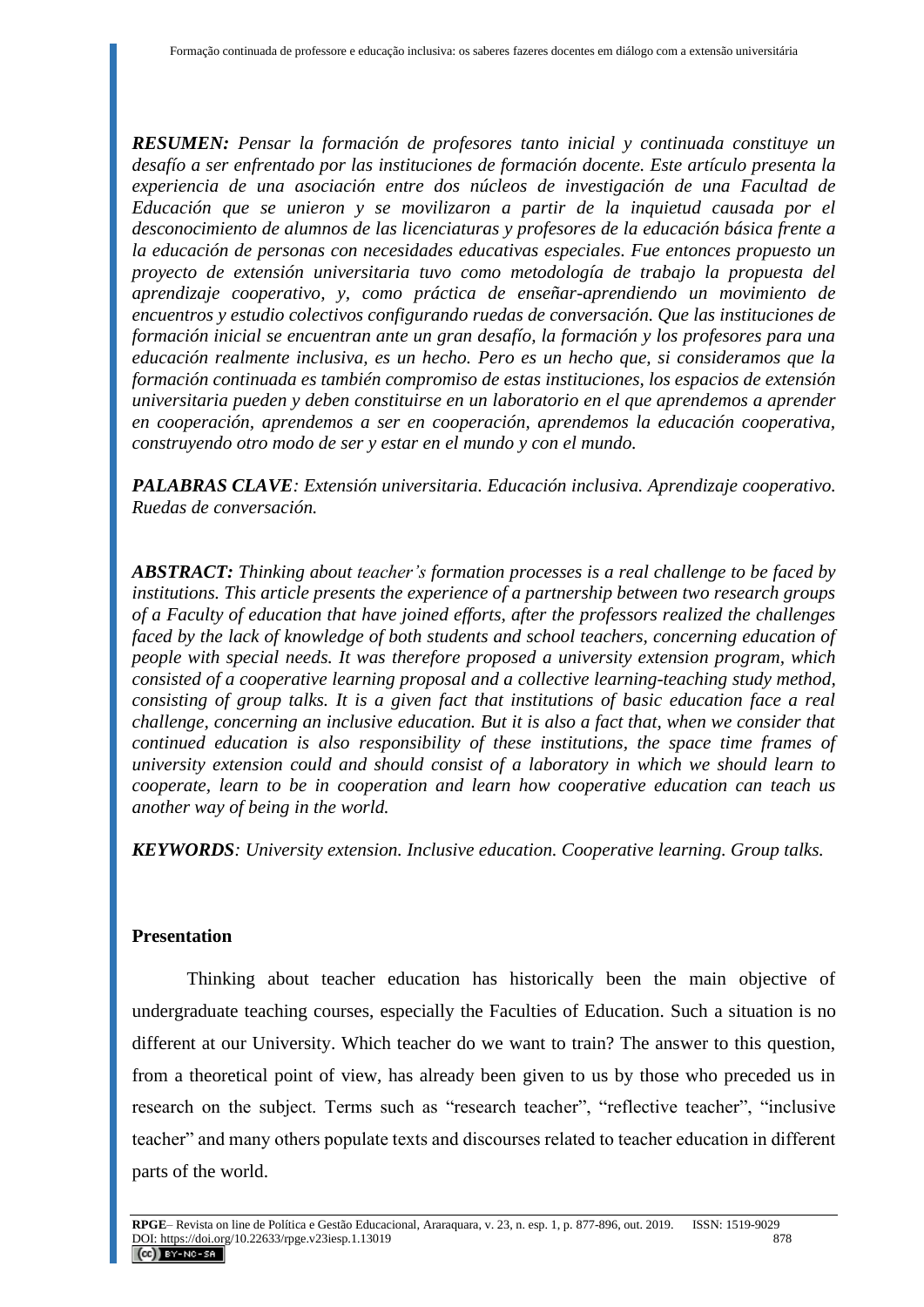*RESUMEN: Pensar la formación de profesores tanto inicial y continuada constituye un desafío a ser enfrentado por las instituciones de formación docente. Este artículo presenta la experiencia de una asociación entre dos núcleos de investigación de una Facultad de Educación que se unieron y se movilizaron a partir de la inquietud causada por el desconocimiento de alumnos de las licenciaturas y profesores de la educación básica frente a la educación de personas con necesidades educativas especiales. Fue entonces propuesto un proyecto de extensión universitaria tuvo como metodología de trabajo la propuesta del aprendizaje cooperativo, y, como práctica de enseñar-aprendiendo un movimiento de encuentros y estudio colectivos configurando ruedas de conversación. Que las instituciones de formación inicial se encuentran ante un gran desafío, la formación y los profesores para una educación realmente inclusiva, es un hecho. Pero es un hecho que, si consideramos que la formación continuada es también compromiso de estas instituciones, los espacios de extensión universitaria pueden y deben constituirse en un laboratorio en el que aprendemos a aprender en cooperación, aprendemos a ser en cooperación, aprendemos la educación cooperativa, construyendo otro modo de ser y estar en el mundo y con el mundo.*

*PALABRAS CLAVE: Extensión universitaria. Educación inclusiva. Aprendizaje cooperativo. Ruedas de conversación.*

*ABSTRACT: Thinking about teacher's formation processes is a real challenge to be faced by institutions. This article presents the experience of a partnership between two research groups of a Faculty of education that have joined efforts, after the professors realized the challenges faced by the lack of knowledge of both students and school teachers, concerning education of people with special needs. It was therefore proposed a university extension program, which consisted of a cooperative learning proposal and a collective learning-teaching study method, consisting of group talks. It is a given fact that institutions of basic education face a real challenge, concerning an inclusive education. But it is also a fact that, when we consider that continued education is also responsibility of these institutions, the space time frames of university extension could and should consist of a laboratory in which we should learn to cooperate, learn to be in cooperation and learn how cooperative education can teach us another way of being in the world.*

*KEYWORDS: University extension. Inclusive education. Cooperative learning. Group talks.*

### **Presentation**

Thinking about teacher education has historically been the main objective of undergraduate teaching courses, especially the Faculties of Education. Such a situation is no different at our University. Which teacher do we want to train? The answer to this question, from a theoretical point of view, has already been given to us by those who preceded us in research on the subject. Terms such as "research teacher", "reflective teacher", "inclusive teacher" and many others populate texts and discourses related to teacher education in different parts of the world.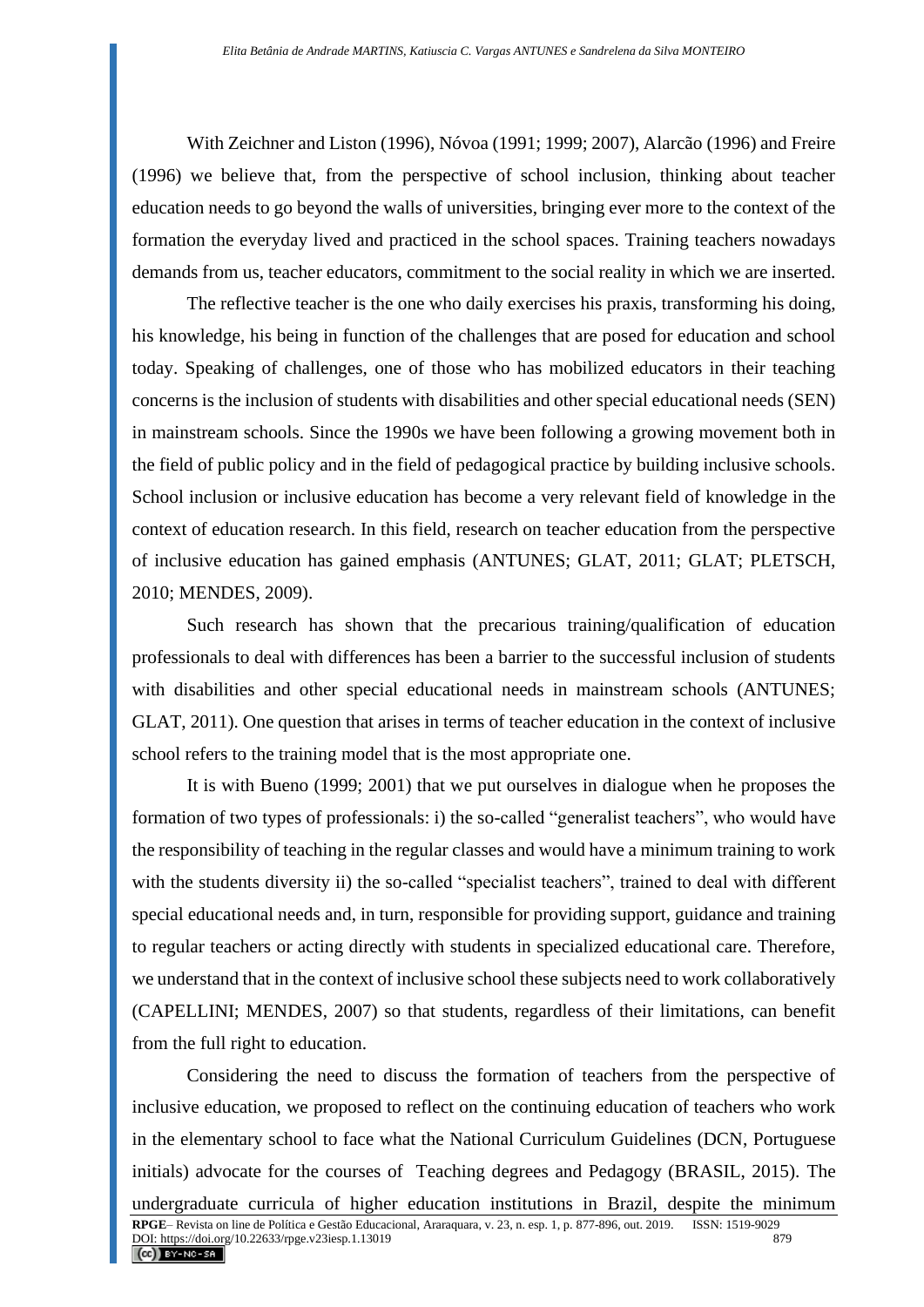With Zeichner and Liston (1996), Nóvoa (1991; 1999; 2007), Alarcão (1996) and Freire (1996) we believe that, from the perspective of school inclusion, thinking about teacher education needs to go beyond the walls of universities, bringing ever more to the context of the formation the everyday lived and practiced in the school spaces. Training teachers nowadays demands from us, teacher educators, commitment to the social reality in which we are inserted.

The reflective teacher is the one who daily exercises his praxis, transforming his doing, his knowledge, his being in function of the challenges that are posed for education and school today. Speaking of challenges, one of those who has mobilized educators in their teaching concerns is the inclusion of students with disabilities and other special educational needs (SEN) in mainstream schools. Since the 1990s we have been following a growing movement both in the field of public policy and in the field of pedagogical practice by building inclusive schools. School inclusion or inclusive education has become a very relevant field of knowledge in the context of education research. In this field, research on teacher education from the perspective of inclusive education has gained emphasis (ANTUNES; GLAT, 2011; GLAT; PLETSCH, 2010; MENDES, 2009).

Such research has shown that the precarious training/qualification of education professionals to deal with differences has been a barrier to the successful inclusion of students with disabilities and other special educational needs in mainstream schools (ANTUNES; GLAT, 2011). One question that arises in terms of teacher education in the context of inclusive school refers to the training model that is the most appropriate one.

It is with Bueno (1999; 2001) that we put ourselves in dialogue when he proposes the formation of two types of professionals: i) the so-called "generalist teachers", who would have the responsibility of teaching in the regular classes and would have a minimum training to work with the students diversity ii) the so-called "specialist teachers", trained to deal with different special educational needs and, in turn, responsible for providing support, guidance and training to regular teachers or acting directly with students in specialized educational care. Therefore, we understand that in the context of inclusive school these subjects need to work collaboratively (CAPELLINI; MENDES, 2007) so that students, regardless of their limitations, can benefit from the full right to education.

Considering the need to discuss the formation of teachers from the perspective of inclusive education, we proposed to reflect on the continuing education of teachers who work in the elementary school to face what the National Curriculum Guidelines (DCN, Portuguese initials) advocate for the courses of Teaching degrees and Pedagogy (BRASIL, 2015). The undergraduate curricula of higher education institutions in Brazil, despite the minimum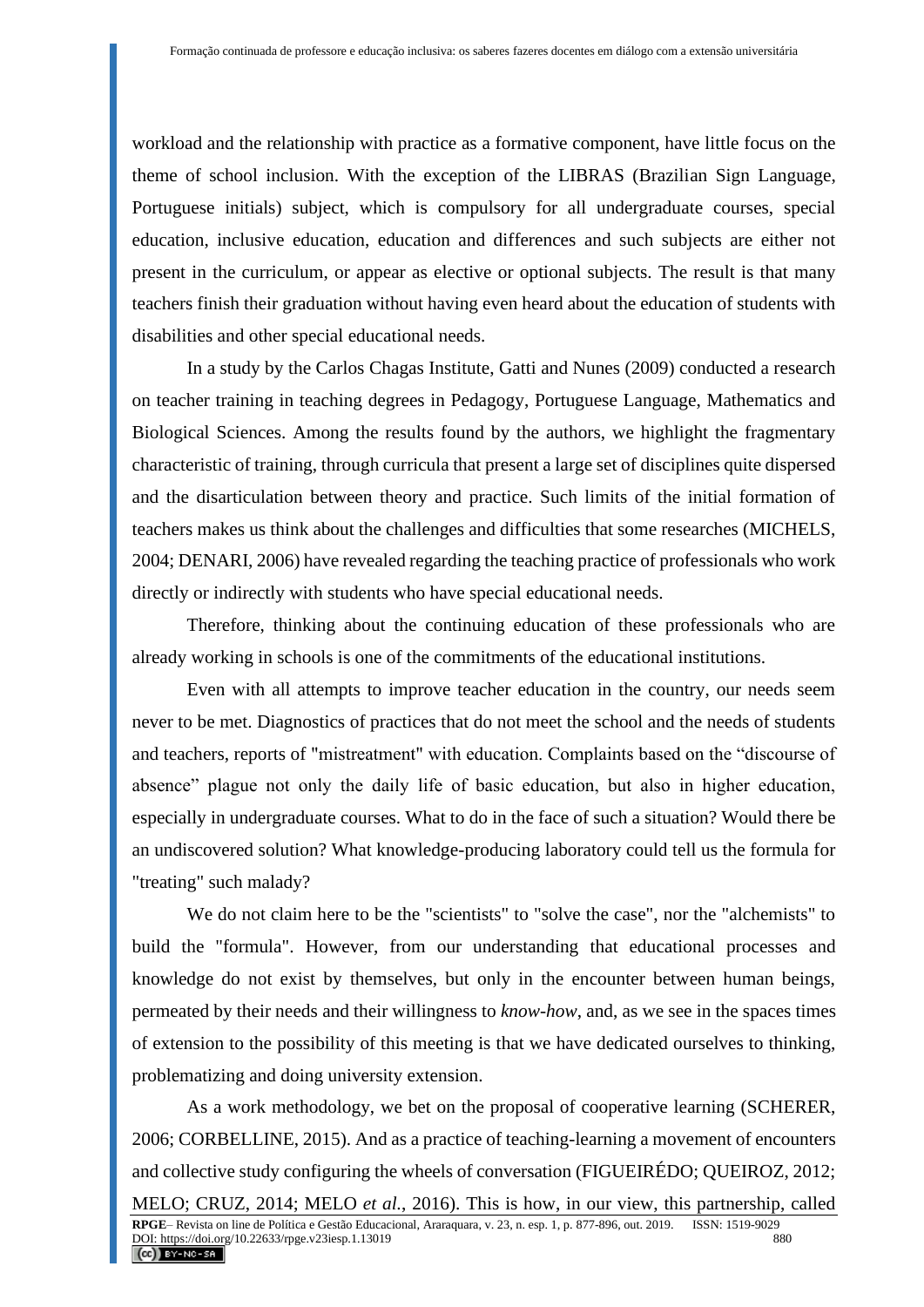workload and the relationship with practice as a formative component, have little focus on the theme of school inclusion. With the exception of the LIBRAS (Brazilian Sign Language, Portuguese initials) subject, which is compulsory for all undergraduate courses, special education, inclusive education, education and differences and such subjects are either not present in the curriculum, or appear as elective or optional subjects. The result is that many teachers finish their graduation without having even heard about the education of students with disabilities and other special educational needs.

In a study by the Carlos Chagas Institute, Gatti and Nunes (2009) conducted a research on teacher training in teaching degrees in Pedagogy, Portuguese Language, Mathematics and Biological Sciences. Among the results found by the authors, we highlight the fragmentary characteristic of training, through curricula that present a large set of disciplines quite dispersed and the disarticulation between theory and practice. Such limits of the initial formation of teachers makes us think about the challenges and difficulties that some researches (MICHELS, 2004; DENARI, 2006) have revealed regarding the teaching practice of professionals who work directly or indirectly with students who have special educational needs.

Therefore, thinking about the continuing education of these professionals who are already working in schools is one of the commitments of the educational institutions.

Even with all attempts to improve teacher education in the country, our needs seem never to be met. Diagnostics of practices that do not meet the school and the needs of students and teachers, reports of "mistreatment" with education. Complaints based on the "discourse of absence" plague not only the daily life of basic education, but also in higher education, especially in undergraduate courses. What to do in the face of such a situation? Would there be an undiscovered solution? What knowledge-producing laboratory could tell us the formula for "treating" such malady?

We do not claim here to be the "scientists" to "solve the case", nor the "alchemists" to build the "formula". However, from our understanding that educational processes and knowledge do not exist by themselves, but only in the encounter between human beings, permeated by their needs and their willingness to *know-how*, and, as we see in the spaces times of extension to the possibility of this meeting is that we have dedicated ourselves to thinking, problematizing and doing university extension.

As a work methodology, we bet on the proposal of cooperative learning (SCHERER, 2006; CORBELLINE, 2015). And as a practice of teaching-learning a movement of encounters and collective study configuring the wheels of conversation (FIGUEIRÉDO; QUEIROZ, 2012; MELO; CRUZ, 2014; MELO *et al.*, 2016). This is how, in our view, this partnership, called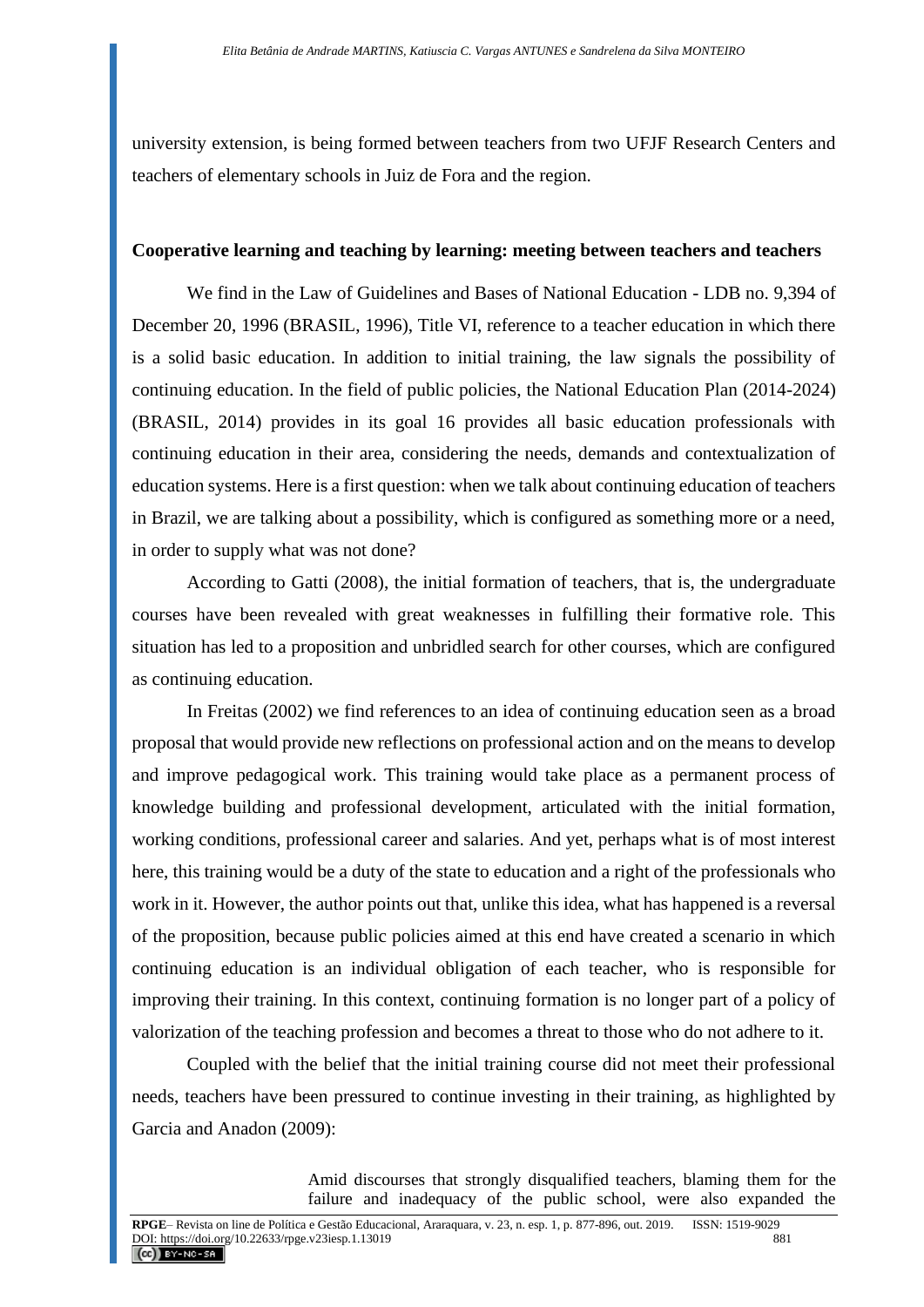university extension, is being formed between teachers from two UFJF Research Centers and teachers of elementary schools in Juiz de Fora and the region.

### **Cooperative learning and teaching by learning: meeting between teachers and teachers**

We find in the Law of Guidelines and Bases of National Education - LDB no. 9,394 of December 20, 1996 (BRASIL, 1996), Title VI, reference to a teacher education in which there is a solid basic education. In addition to initial training, the law signals the possibility of continuing education. In the field of public policies, the National Education Plan (2014-2024) (BRASIL, 2014) provides in its goal 16 provides all basic education professionals with continuing education in their area, considering the needs, demands and contextualization of education systems. Here is a first question: when we talk about continuing education of teachers in Brazil, we are talking about a possibility, which is configured as something more or a need, in order to supply what was not done?

According to Gatti (2008), the initial formation of teachers, that is, the undergraduate courses have been revealed with great weaknesses in fulfilling their formative role. This situation has led to a proposition and unbridled search for other courses, which are configured as continuing education.

In Freitas (2002) we find references to an idea of continuing education seen as a broad proposal that would provide new reflections on professional action and on the means to develop and improve pedagogical work. This training would take place as a permanent process of knowledge building and professional development, articulated with the initial formation, working conditions, professional career and salaries. And yet, perhaps what is of most interest here, this training would be a duty of the state to education and a right of the professionals who work in it. However, the author points out that, unlike this idea, what has happened is a reversal of the proposition, because public policies aimed at this end have created a scenario in which continuing education is an individual obligation of each teacher, who is responsible for improving their training. In this context, continuing formation is no longer part of a policy of valorization of the teaching profession and becomes a threat to those who do not adhere to it.

Coupled with the belief that the initial training course did not meet their professional needs, teachers have been pressured to continue investing in their training, as highlighted by Garcia and Anadon (2009):

> Amid discourses that strongly disqualified teachers, blaming them for the failure and inadequacy of the public school, were also expanded the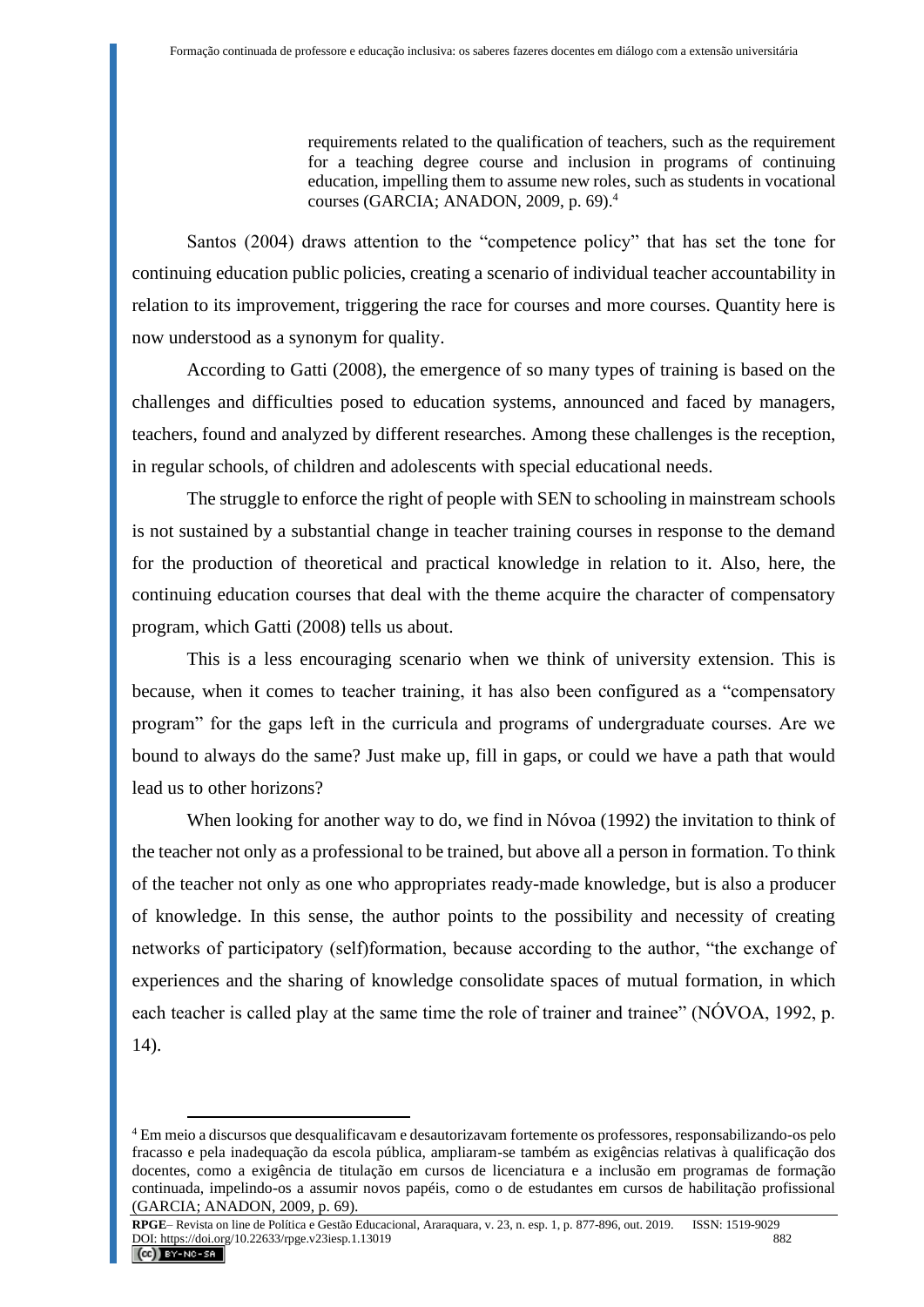requirements related to the qualification of teachers, such as the requirement for a teaching degree course and inclusion in programs of continuing education, impelling them to assume new roles, such as students in vocational courses (GARCIA; ANADON, 2009, p. 69).<sup>4</sup>

Santos (2004) draws attention to the "competence policy" that has set the tone for continuing education public policies, creating a scenario of individual teacher accountability in relation to its improvement, triggering the race for courses and more courses. Quantity here is now understood as a synonym for quality.

According to Gatti (2008), the emergence of so many types of training is based on the challenges and difficulties posed to education systems, announced and faced by managers, teachers, found and analyzed by different researches. Among these challenges is the reception, in regular schools, of children and adolescents with special educational needs.

The struggle to enforce the right of people with SEN to schooling in mainstream schools is not sustained by a substantial change in teacher training courses in response to the demand for the production of theoretical and practical knowledge in relation to it. Also, here, the continuing education courses that deal with the theme acquire the character of compensatory program, which Gatti (2008) tells us about.

This is a less encouraging scenario when we think of university extension. This is because, when it comes to teacher training, it has also been configured as a "compensatory program" for the gaps left in the curricula and programs of undergraduate courses. Are we bound to always do the same? Just make up, fill in gaps, or could we have a path that would lead us to other horizons?

When looking for another way to do, we find in Nóvoa (1992) the invitation to think of the teacher not only as a professional to be trained, but above all a person in formation. To think of the teacher not only as one who appropriates ready-made knowledge, but is also a producer of knowledge. In this sense, the author points to the possibility and necessity of creating networks of participatory (self)formation, because according to the author, "the exchange of experiences and the sharing of knowledge consolidate spaces of mutual formation, in which each teacher is called play at the same time the role of trainer and trainee" (NÓVOA, 1992, p. 14).

<sup>4</sup> Em meio a discursos que desqualificavam e desautorizavam fortemente os professores, responsabilizando-os pelo fracasso e pela inadequação da escola pública, ampliaram-se também as exigências relativas à qualificação dos docentes, como a exigência de titulação em cursos de licenciatura e a inclusão em programas de formação continuada, impelindo-os a assumir novos papéis, como o de estudantes em cursos de habilitação profissional (GARCIA; ANADON, 2009, p. 69).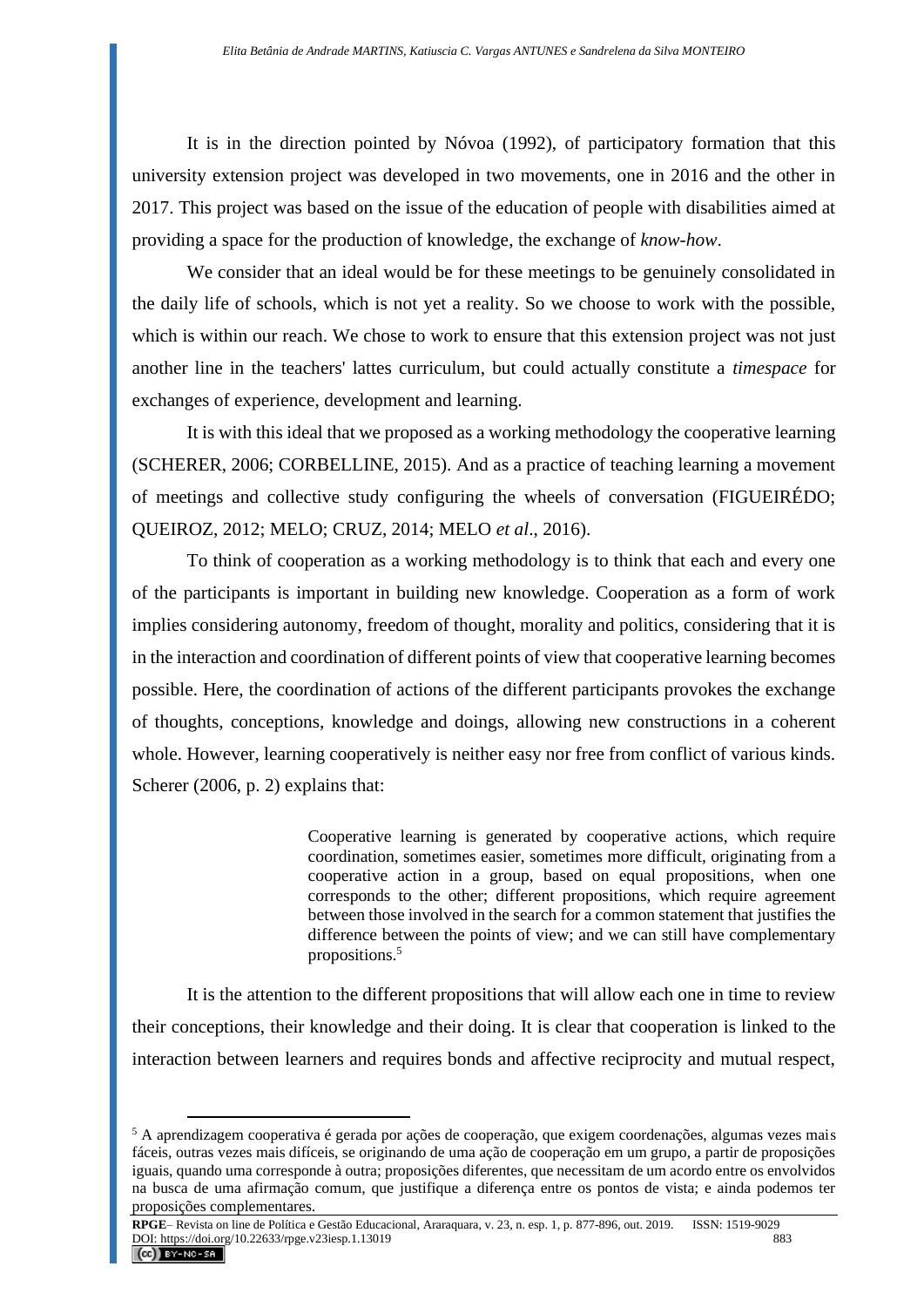It is in the direction pointed by Nóvoa (1992), of participatory formation that this university extension project was developed in two movements, one in 2016 and the other in 2017. This project was based on the issue of the education of people with disabilities aimed at providing a space for the production of knowledge, the exchange of *know-how*.

We consider that an ideal would be for these meetings to be genuinely consolidated in the daily life of schools, which is not yet a reality. So we choose to work with the possible, which is within our reach. We chose to work to ensure that this extension project was not just another line in the teachers' lattes curriculum, but could actually constitute a *timespace* for exchanges of experience, development and learning.

It is with this ideal that we proposed as a working methodology the cooperative learning (SCHERER, 2006; CORBELLINE, 2015). And as a practice of teaching learning a movement of meetings and collective study configuring the wheels of conversation (FIGUEIRÉDO; QUEIROZ, 2012; MELO; CRUZ, 2014; MELO *et al*., 2016).

To think of cooperation as a working methodology is to think that each and every one of the participants is important in building new knowledge. Cooperation as a form of work implies considering autonomy, freedom of thought, morality and politics, considering that it is in the interaction and coordination of different points of view that cooperative learning becomes possible. Here, the coordination of actions of the different participants provokes the exchange of thoughts, conceptions, knowledge and doings, allowing new constructions in a coherent whole. However, learning cooperatively is neither easy nor free from conflict of various kinds. Scherer (2006, p. 2) explains that:

> Cooperative learning is generated by cooperative actions, which require coordination, sometimes easier, sometimes more difficult, originating from a cooperative action in a group, based on equal propositions, when one corresponds to the other; different propositions, which require agreement between those involved in the search for a common statement that justifies the difference between the points of view; and we can still have complementary propositions.<sup>5</sup>

It is the attention to the different propositions that will allow each one in time to review their conceptions, their knowledge and their doing. It is clear that cooperation is linked to the interaction between learners and requires bonds and affective reciprocity and mutual respect,

<sup>5</sup> A aprendizagem cooperativa é gerada por ações de cooperação, que exigem coordenações, algumas vezes mais fáceis, outras vezes mais difíceis, se originando de uma ação de cooperação em um grupo, a partir de proposições iguais, quando uma corresponde à outra; proposições diferentes, que necessitam de um acordo entre os envolvidos na busca de uma afirmação comum, que justifique a diferença entre os pontos de vista; e ainda podemos ter proposições complementares.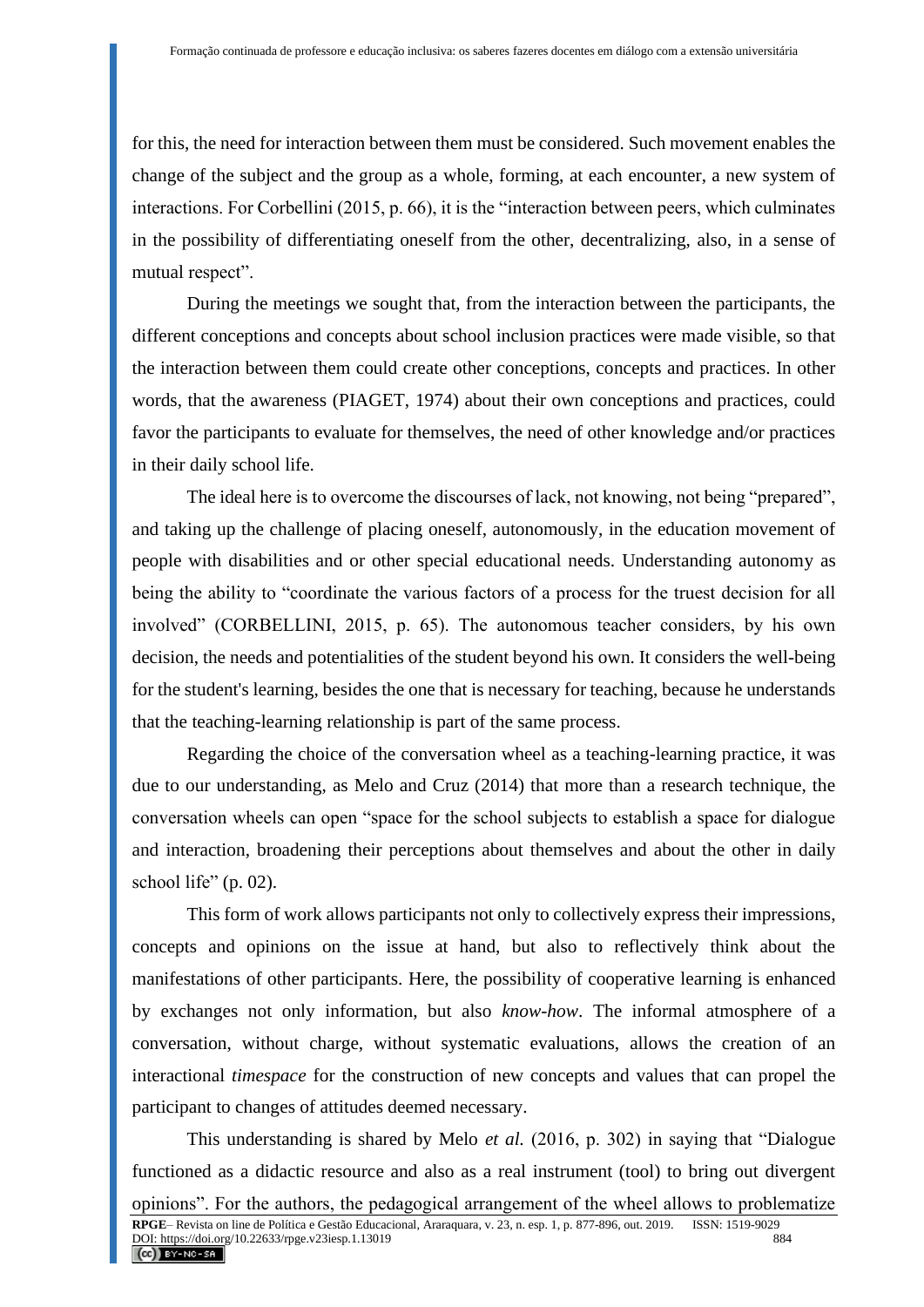for this, the need for interaction between them must be considered. Such movement enables the change of the subject and the group as a whole, forming, at each encounter, a new system of interactions. For Corbellini (2015, p. 66), it is the "interaction between peers, which culminates in the possibility of differentiating oneself from the other, decentralizing, also, in a sense of mutual respect".

During the meetings we sought that, from the interaction between the participants, the different conceptions and concepts about school inclusion practices were made visible, so that the interaction between them could create other conceptions, concepts and practices. In other words, that the awareness (PIAGET, 1974) about their own conceptions and practices, could favor the participants to evaluate for themselves, the need of other knowledge and/or practices in their daily school life.

The ideal here is to overcome the discourses of lack, not knowing, not being "prepared", and taking up the challenge of placing oneself, autonomously, in the education movement of people with disabilities and or other special educational needs. Understanding autonomy as being the ability to "coordinate the various factors of a process for the truest decision for all involved" (CORBELLINI, 2015, p. 65). The autonomous teacher considers, by his own decision, the needs and potentialities of the student beyond his own. It considers the well-being for the student's learning, besides the one that is necessary for teaching, because he understands that the teaching-learning relationship is part of the same process.

Regarding the choice of the conversation wheel as a teaching-learning practice, it was due to our understanding, as Melo and Cruz (2014) that more than a research technique, the conversation wheels can open "space for the school subjects to establish a space for dialogue and interaction, broadening their perceptions about themselves and about the other in daily school life" (p. 02).

This form of work allows participants not only to collectively express their impressions, concepts and opinions on the issue at hand, but also to reflectively think about the manifestations of other participants. Here, the possibility of cooperative learning is enhanced by exchanges not only information, but also *know-how*. The informal atmosphere of a conversation, without charge, without systematic evaluations, allows the creation of an interactional *timespace* for the construction of new concepts and values that can propel the participant to changes of attitudes deemed necessary.

This understanding is shared by Melo *et al.* (2016, p. 302) in saying that "Dialogue functioned as a didactic resource and also as a real instrument (tool) to bring out divergent opinions". For the authors, the pedagogical arrangement of the wheel allows to problematize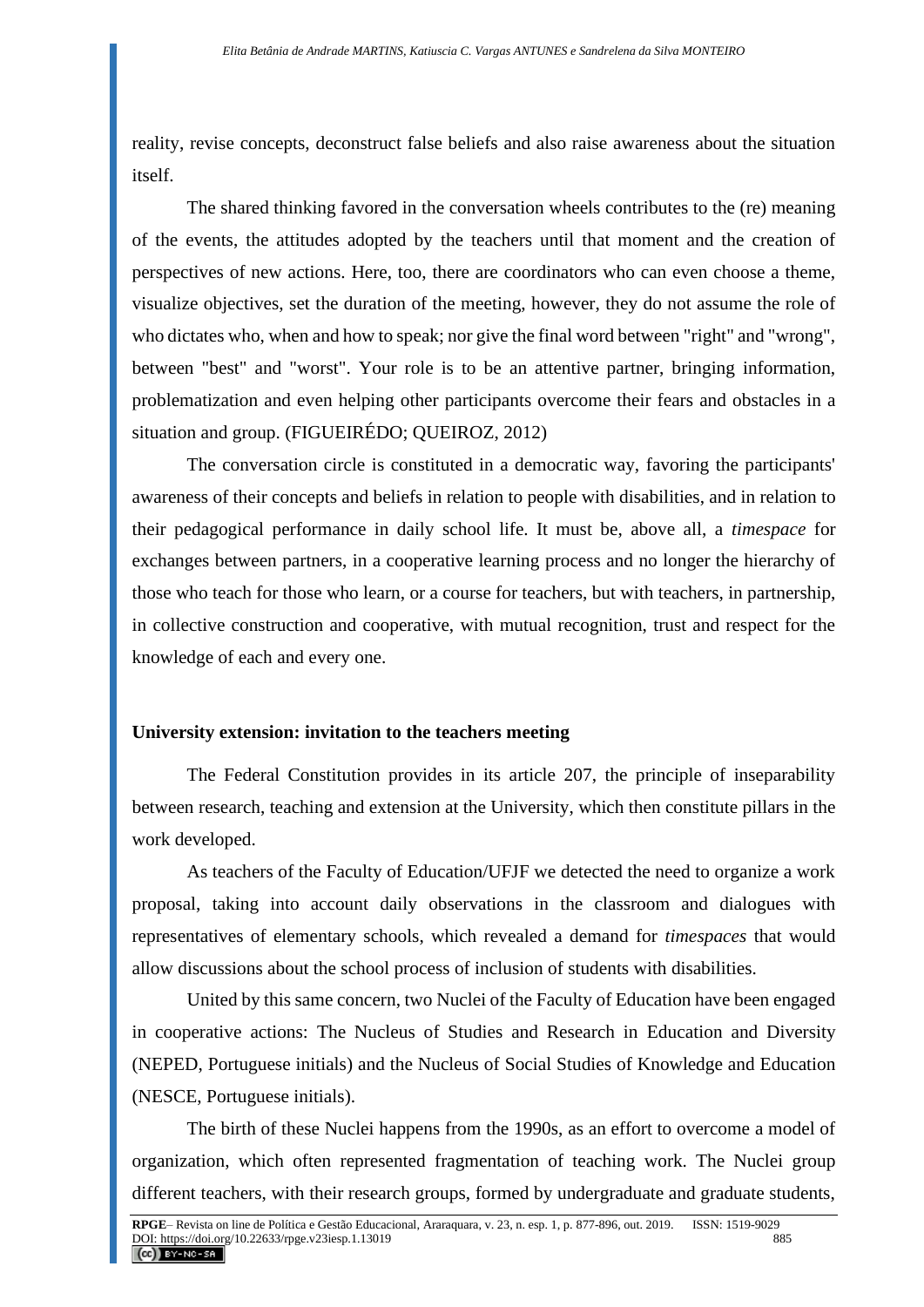reality, revise concepts, deconstruct false beliefs and also raise awareness about the situation itself.

The shared thinking favored in the conversation wheels contributes to the (re) meaning of the events, the attitudes adopted by the teachers until that moment and the creation of perspectives of new actions. Here, too, there are coordinators who can even choose a theme, visualize objectives, set the duration of the meeting, however, they do not assume the role of who dictates who, when and how to speak; nor give the final word between "right" and "wrong", between "best" and "worst". Your role is to be an attentive partner, bringing information, problematization and even helping other participants overcome their fears and obstacles in a situation and group. (FIGUEIRÉDO; QUEIROZ, 2012)

The conversation circle is constituted in a democratic way, favoring the participants' awareness of their concepts and beliefs in relation to people with disabilities, and in relation to their pedagogical performance in daily school life. It must be, above all, a *timespace* for exchanges between partners, in a cooperative learning process and no longer the hierarchy of those who teach for those who learn, or a course for teachers, but with teachers, in partnership, in collective construction and cooperative, with mutual recognition, trust and respect for the knowledge of each and every one.

#### **University extension: invitation to the teachers meeting**

The Federal Constitution provides in its article 207, the principle of inseparability between research, teaching and extension at the University, which then constitute pillars in the work developed.

As teachers of the Faculty of Education/UFJF we detected the need to organize a work proposal, taking into account daily observations in the classroom and dialogues with representatives of elementary schools, which revealed a demand for *timespaces* that would allow discussions about the school process of inclusion of students with disabilities.

United by this same concern, two Nuclei of the Faculty of Education have been engaged in cooperative actions: The Nucleus of Studies and Research in Education and Diversity (NEPED, Portuguese initials) and the Nucleus of Social Studies of Knowledge and Education (NESCE, Portuguese initials).

The birth of these Nuclei happens from the 1990s, as an effort to overcome a model of organization, which often represented fragmentation of teaching work. The Nuclei group different teachers, with their research groups, formed by undergraduate and graduate students,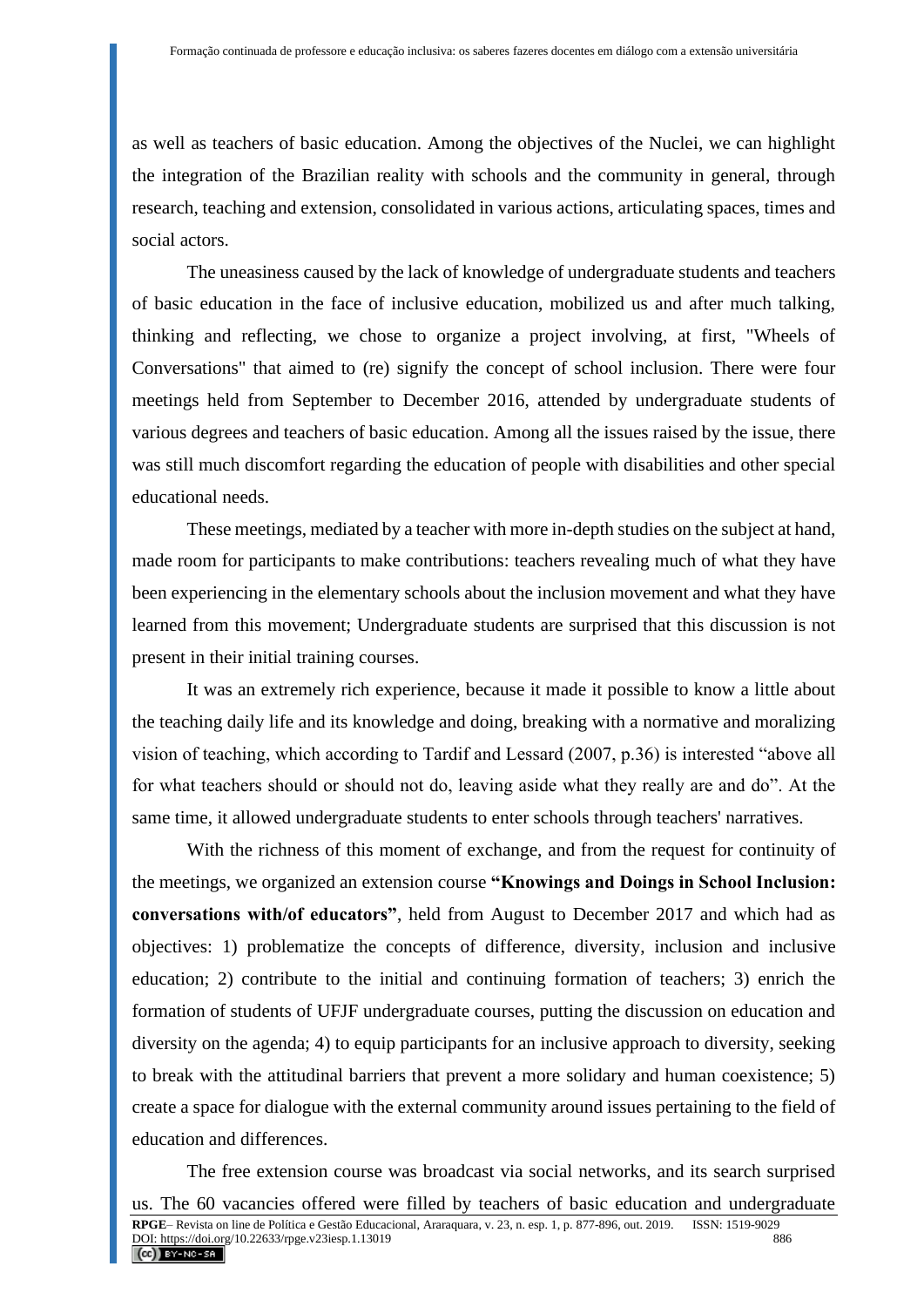as well as teachers of basic education. Among the objectives of the Nuclei, we can highlight the integration of the Brazilian reality with schools and the community in general, through research, teaching and extension, consolidated in various actions, articulating spaces, times and social actors.

The uneasiness caused by the lack of knowledge of undergraduate students and teachers of basic education in the face of inclusive education, mobilized us and after much talking, thinking and reflecting, we chose to organize a project involving, at first, "Wheels of Conversations" that aimed to (re) signify the concept of school inclusion. There were four meetings held from September to December 2016, attended by undergraduate students of various degrees and teachers of basic education. Among all the issues raised by the issue, there was still much discomfort regarding the education of people with disabilities and other special educational needs.

These meetings, mediated by a teacher with more in-depth studies on the subject at hand, made room for participants to make contributions: teachers revealing much of what they have been experiencing in the elementary schools about the inclusion movement and what they have learned from this movement; Undergraduate students are surprised that this discussion is not present in their initial training courses.

It was an extremely rich experience, because it made it possible to know a little about the teaching daily life and its knowledge and doing, breaking with a normative and moralizing vision of teaching, which according to Tardif and Lessard (2007, p.36) is interested "above all for what teachers should or should not do, leaving aside what they really are and do". At the same time, it allowed undergraduate students to enter schools through teachers' narratives.

With the richness of this moment of exchange, and from the request for continuity of the meetings, we organized an extension course **"Knowings and Doings in School Inclusion: conversations with/of educators"**, held from August to December 2017 and which had as objectives: 1) problematize the concepts of difference, diversity, inclusion and inclusive education; 2) contribute to the initial and continuing formation of teachers; 3) enrich the formation of students of UFJF undergraduate courses, putting the discussion on education and diversity on the agenda; 4) to equip participants for an inclusive approach to diversity, seeking to break with the attitudinal barriers that prevent a more solidary and human coexistence; 5) create a space for dialogue with the external community around issues pertaining to the field of education and differences.

The free extension course was broadcast via social networks, and its search surprised us. The 60 vacancies offered were filled by teachers of basic education and undergraduate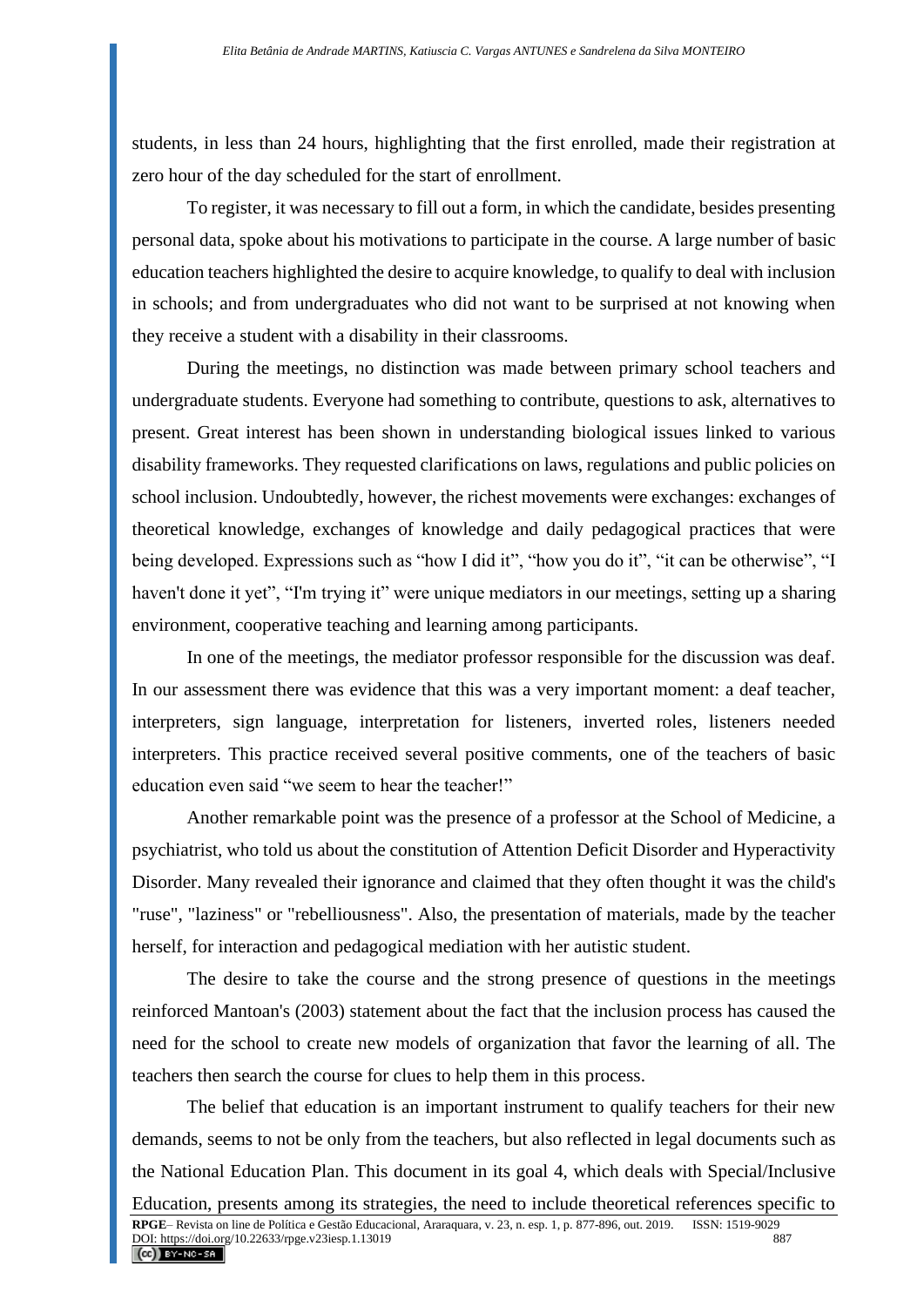students, in less than 24 hours, highlighting that the first enrolled, made their registration at zero hour of the day scheduled for the start of enrollment.

To register, it was necessary to fill out a form, in which the candidate, besides presenting personal data, spoke about his motivations to participate in the course. A large number of basic education teachers highlighted the desire to acquire knowledge, to qualify to deal with inclusion in schools; and from undergraduates who did not want to be surprised at not knowing when they receive a student with a disability in their classrooms.

During the meetings, no distinction was made between primary school teachers and undergraduate students. Everyone had something to contribute, questions to ask, alternatives to present. Great interest has been shown in understanding biological issues linked to various disability frameworks. They requested clarifications on laws, regulations and public policies on school inclusion. Undoubtedly, however, the richest movements were exchanges: exchanges of theoretical knowledge, exchanges of knowledge and daily pedagogical practices that were being developed. Expressions such as "how I did it", "how you do it", "it can be otherwise", "I haven't done it yet", "I'm trying it" were unique mediators in our meetings, setting up a sharing environment, cooperative teaching and learning among participants.

In one of the meetings, the mediator professor responsible for the discussion was deaf. In our assessment there was evidence that this was a very important moment: a deaf teacher, interpreters, sign language, interpretation for listeners, inverted roles, listeners needed interpreters. This practice received several positive comments, one of the teachers of basic education even said "we seem to hear the teacher!"

Another remarkable point was the presence of a professor at the School of Medicine, a psychiatrist, who told us about the constitution of Attention Deficit Disorder and Hyperactivity Disorder. Many revealed their ignorance and claimed that they often thought it was the child's "ruse", "laziness" or "rebelliousness". Also, the presentation of materials, made by the teacher herself, for interaction and pedagogical mediation with her autistic student.

The desire to take the course and the strong presence of questions in the meetings reinforced Mantoan's (2003) statement about the fact that the inclusion process has caused the need for the school to create new models of organization that favor the learning of all. The teachers then search the course for clues to help them in this process.

The belief that education is an important instrument to qualify teachers for their new demands, seems to not be only from the teachers, but also reflected in legal documents such as the National Education Plan. This document in its goal 4, which deals with Special/Inclusive Education, presents among its strategies, the need to include theoretical references specific to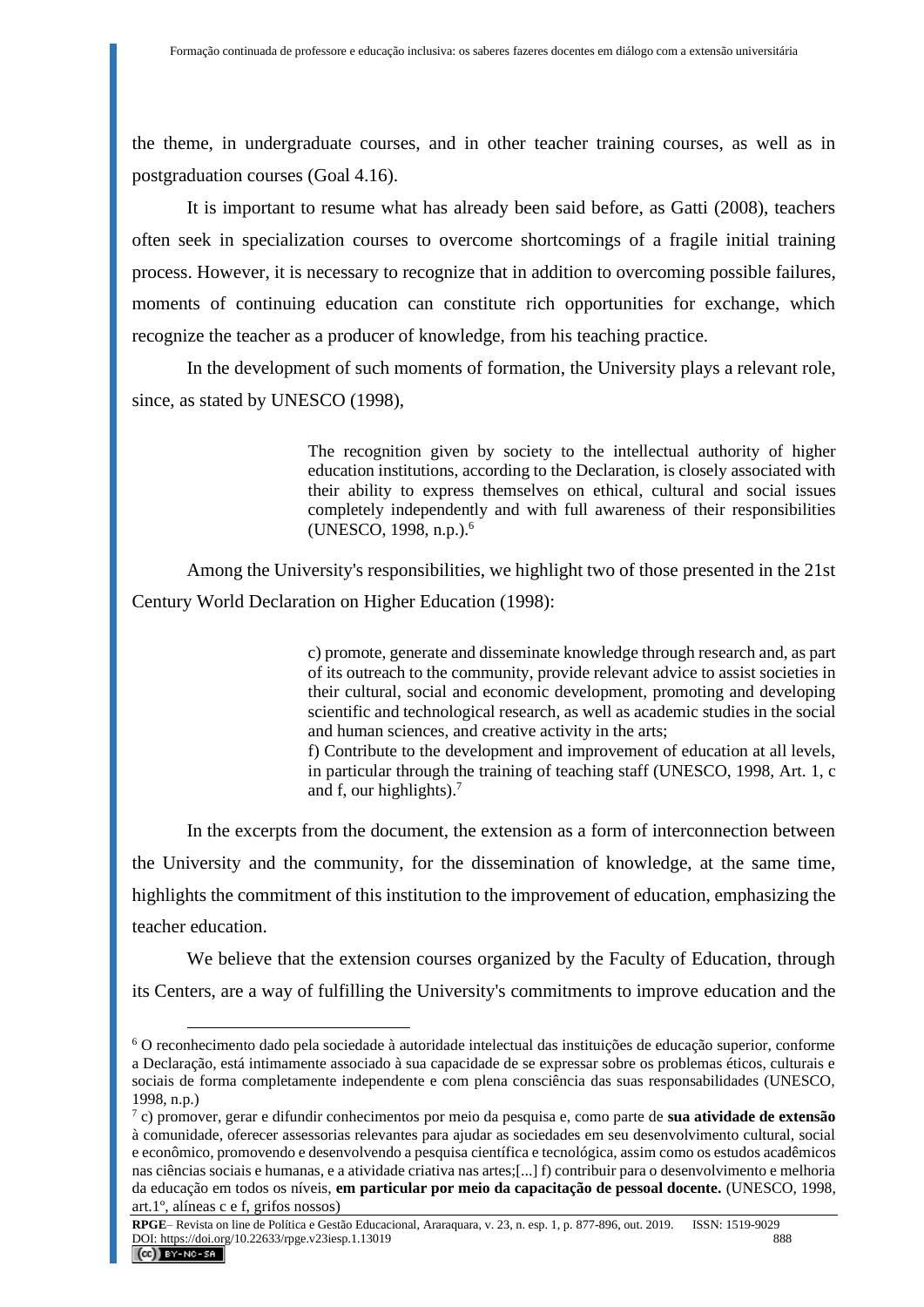the theme, in undergraduate courses, and in other teacher training courses, as well as in postgraduation courses (Goal 4.16).

It is important to resume what has already been said before, as Gatti (2008), teachers often seek in specialization courses to overcome shortcomings of a fragile initial training process. However, it is necessary to recognize that in addition to overcoming possible failures, moments of continuing education can constitute rich opportunities for exchange, which recognize the teacher as a producer of knowledge, from his teaching practice.

In the development of such moments of formation, the University plays a relevant role, since, as stated by UNESCO (1998),

> The recognition given by society to the intellectual authority of higher education institutions, according to the Declaration, is closely associated with their ability to express themselves on ethical, cultural and social issues completely independently and with full awareness of their responsibilities (UNESCO, 1998, n.p.).<sup>6</sup>

Among the University's responsibilities, we highlight two of those presented in the 21st Century World Declaration on Higher Education (1998):

> c) promote, generate and disseminate knowledge through research and, as part of its outreach to the community, provide relevant advice to assist societies in their cultural, social and economic development, promoting and developing scientific and technological research, as well as academic studies in the social and human sciences, and creative activity in the arts;

> f) Contribute to the development and improvement of education at all levels, in particular through the training of teaching staff (UNESCO, 1998, Art. 1, c and f, our highlights). $<sup>7</sup>$ </sup>

In the excerpts from the document, the extension as a form of interconnection between the University and the community, for the dissemination of knowledge, at the same time, highlights the commitment of this institution to the improvement of education, emphasizing the teacher education.

We believe that the extension courses organized by the Faculty of Education, through its Centers, are a way of fulfilling the University's commitments to improve education and the

<sup>6</sup> O reconhecimento dado pela sociedade à autoridade intelectual das instituições de educação superior, conforme a Declaração, está intimamente associado à sua capacidade de se expressar sobre os problemas éticos, culturais e sociais de forma completamente independente e com plena consciência das suas responsabilidades (UNESCO, 1998, n.p.)

<sup>7</sup> c) promover, gerar e difundir conhecimentos por meio da pesquisa e, como parte de **sua atividade de extensão** à comunidade, oferecer assessorias relevantes para ajudar as sociedades em seu desenvolvimento cultural, social e econômico, promovendo e desenvolvendo a pesquisa científica e tecnológica, assim como os estudos acadêmicos nas ciências sociais e humanas, e a atividade criativa nas artes;[...] f) contribuir para o desenvolvimento e melhoria da educação em todos os níveis, **em particular por meio da capacitação de pessoal docente.** (UNESCO, 1998, art.1º, alíneas c e f, grifos nossos)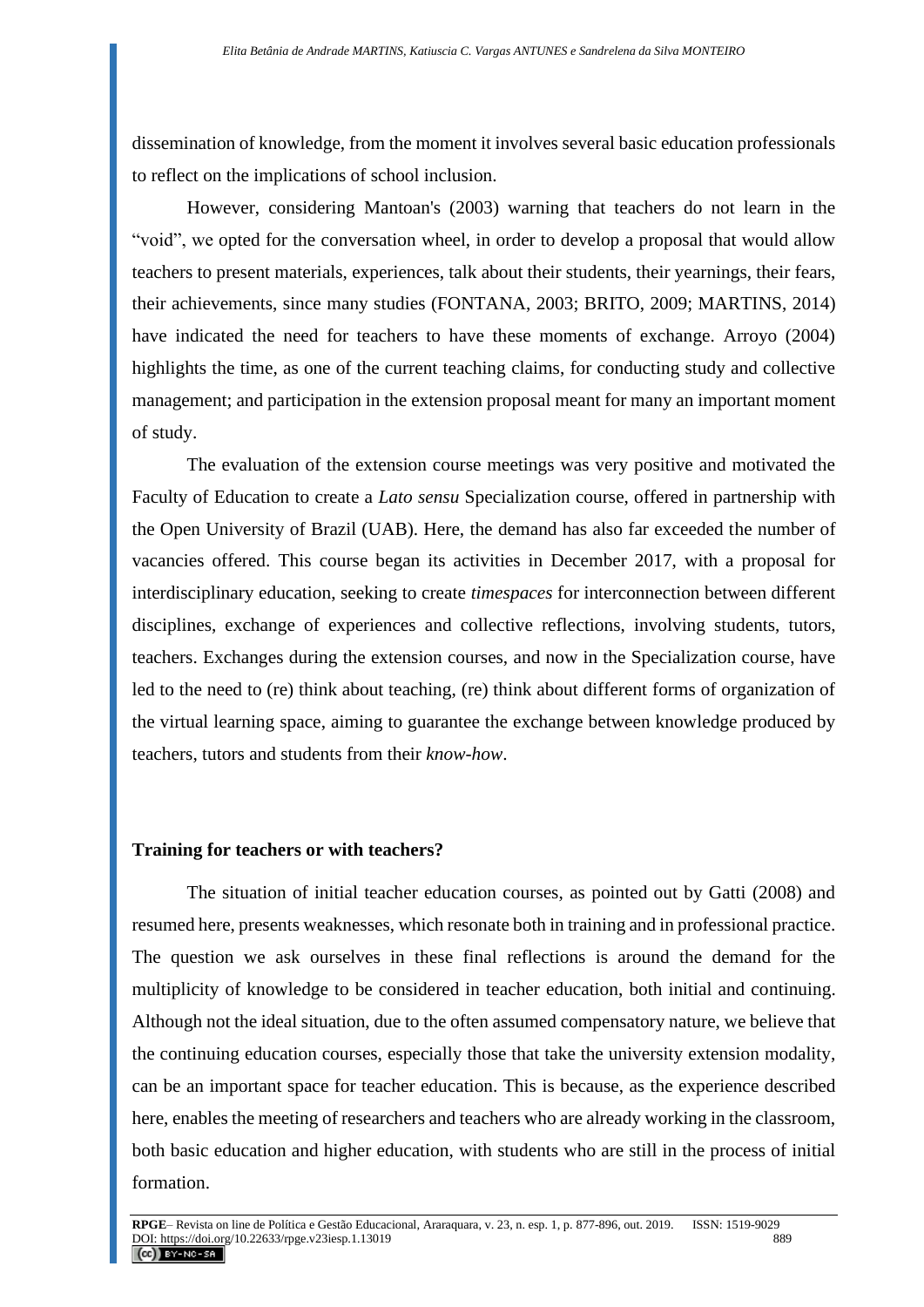dissemination of knowledge, from the moment it involves several basic education professionals to reflect on the implications of school inclusion.

However, considering Mantoan's (2003) warning that teachers do not learn in the "void", we opted for the conversation wheel, in order to develop a proposal that would allow teachers to present materials, experiences, talk about their students, their yearnings, their fears, their achievements, since many studies (FONTANA, 2003; BRITO, 2009; MARTINS, 2014) have indicated the need for teachers to have these moments of exchange. Arroyo (2004) highlights the time, as one of the current teaching claims, for conducting study and collective management; and participation in the extension proposal meant for many an important moment of study.

The evaluation of the extension course meetings was very positive and motivated the Faculty of Education to create a *Lato sensu* Specialization course, offered in partnership with the Open University of Brazil (UAB). Here, the demand has also far exceeded the number of vacancies offered. This course began its activities in December 2017, with a proposal for interdisciplinary education, seeking to create *timespaces* for interconnection between different disciplines, exchange of experiences and collective reflections, involving students, tutors, teachers. Exchanges during the extension courses, and now in the Specialization course, have led to the need to (re) think about teaching, (re) think about different forms of organization of the virtual learning space, aiming to guarantee the exchange between knowledge produced by teachers, tutors and students from their *know-how*.

### **Training for teachers or with teachers?**

The situation of initial teacher education courses, as pointed out by Gatti (2008) and resumed here, presents weaknesses, which resonate both in training and in professional practice. The question we ask ourselves in these final reflections is around the demand for the multiplicity of knowledge to be considered in teacher education, both initial and continuing. Although not the ideal situation, due to the often assumed compensatory nature, we believe that the continuing education courses, especially those that take the university extension modality, can be an important space for teacher education. This is because, as the experience described here, enables the meeting of researchers and teachers who are already working in the classroom, both basic education and higher education, with students who are still in the process of initial formation.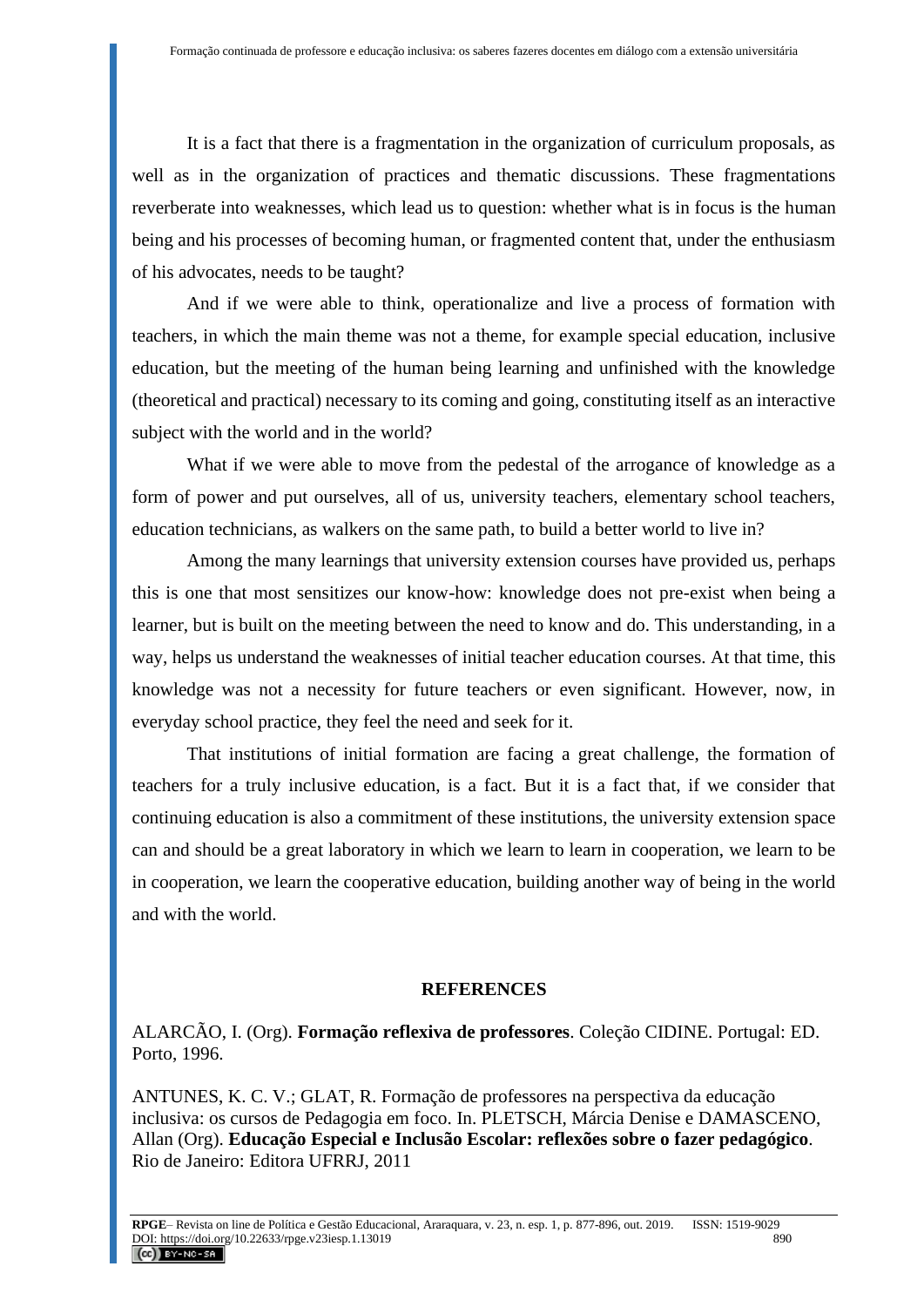It is a fact that there is a fragmentation in the organization of curriculum proposals, as well as in the organization of practices and thematic discussions. These fragmentations reverberate into weaknesses, which lead us to question: whether what is in focus is the human being and his processes of becoming human, or fragmented content that, under the enthusiasm of his advocates, needs to be taught?

And if we were able to think, operationalize and live a process of formation with teachers, in which the main theme was not a theme, for example special education, inclusive education, but the meeting of the human being learning and unfinished with the knowledge (theoretical and practical) necessary to its coming and going, constituting itself as an interactive subject with the world and in the world?

What if we were able to move from the pedestal of the arrogance of knowledge as a form of power and put ourselves, all of us, university teachers, elementary school teachers, education technicians, as walkers on the same path, to build a better world to live in?

Among the many learnings that university extension courses have provided us, perhaps this is one that most sensitizes our know-how: knowledge does not pre-exist when being a learner, but is built on the meeting between the need to know and do. This understanding, in a way, helps us understand the weaknesses of initial teacher education courses. At that time, this knowledge was not a necessity for future teachers or even significant. However, now, in everyday school practice, they feel the need and seek for it.

That institutions of initial formation are facing a great challenge, the formation of teachers for a truly inclusive education, is a fact. But it is a fact that, if we consider that continuing education is also a commitment of these institutions, the university extension space can and should be a great laboratory in which we learn to learn in cooperation, we learn to be in cooperation, we learn the cooperative education, building another way of being in the world and with the world.

#### **REFERENCES**

ALARCÃO, I. (Org). **Formação reflexiva de professores**. Coleção CIDINE. Portugal: ED. Porto, 1996.

ANTUNES, K. C. V.; GLAT, R. Formação de professores na perspectiva da educação inclusiva: os cursos de Pedagogia em foco. In. PLETSCH, Márcia Denise e DAMASCENO, Allan (Org). **Educação Especial e Inclusão Escolar: reflexões sobre o fazer pedagógico**. Rio de Janeiro: Editora UFRRJ, 2011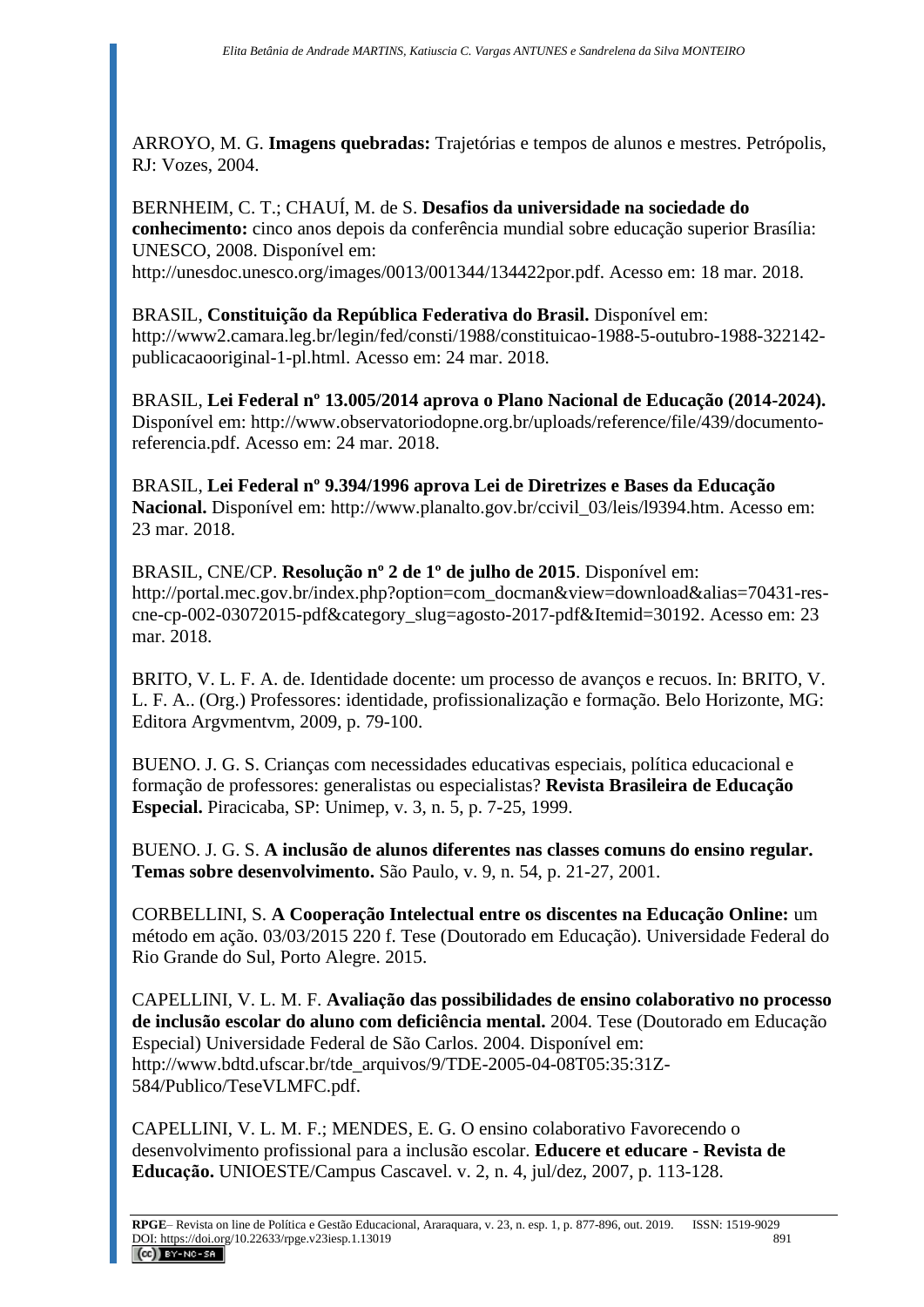ARROYO, M. G. **Imagens quebradas:** Trajetórias e tempos de alunos e mestres. Petrópolis, RJ: Vozes, 2004.

BERNHEIM, C. T.; CHAUÍ, M. de S. **Desafios da universidade na sociedade do conhecimento:** cinco anos depois da conferência mundial sobre educação superior Brasília: UNESCO, 2008. Disponível em:

http://unesdoc.unesco.org/images/0013/001344/134422por.pdf. Acesso em: 18 mar. 2018.

# BRASIL, **Constituição da República Federativa do Brasil.** Disponível em:

http://www2.camara.leg.br/legin/fed/consti/1988/constituicao-1988-5-outubro-1988-322142 publicacaooriginal-1-pl.html. Acesso em: 24 mar. 2018.

BRASIL, **Lei Federal nº 13.005/2014 aprova o Plano Nacional de Educação (2014-2024).** Disponível em: [http://www.observatoriodopne.org.br/uploads/reference/file/439/documento](http://www.observatoriodopne.org.br/uploads/reference/file/439/documento-referencia.pdf)[referencia.pdf.](http://www.observatoriodopne.org.br/uploads/reference/file/439/documento-referencia.pdf) Acesso em: 24 mar. 2018.

BRASIL, **Lei Federal nº 9.394/1996 aprova Lei de Diretrizes e Bases da Educação**  Nacional. Disponível em: http://www.planalto.gov.br/ccivil 03/leis/l9394.htm. Acesso em: 23 mar. 2018.

BRASIL, CNE/CP. **Resolução nº 2 de 1º de julho de 2015**. Disponível em: [http://portal.mec.gov.br/index.php?option=com\\_docman&view=download&alias=70431-res](http://portal.mec.gov.br/index.php?option=com_docman&view=download&alias=70431-res-cne-cp-002-03072015-pdf&category_slug=agosto-2017-pdf&Itemid=30192)[cne-cp-002-03072015-pdf&category\\_slug=agosto-2017-pdf&Itemid=30192.](http://portal.mec.gov.br/index.php?option=com_docman&view=download&alias=70431-res-cne-cp-002-03072015-pdf&category_slug=agosto-2017-pdf&Itemid=30192) Acesso em: 23 mar. 2018.

BRITO, V. L. F. A. de. Identidade docente: um processo de avanços e recuos. In: BRITO, V. L. F. A.. (Org.) Professores: identidade, profissionalização e formação. Belo Horizonte, MG: Editora Argvmentvm, 2009, p. 79-100.

BUENO. J. G. S. Crianças com necessidades educativas especiais, política educacional e formação de professores: generalistas ou especialistas? **Revista Brasileira de Educação Especial.** Piracicaba, SP: Unimep, v. 3, n. 5, p. 7-25, 1999.

BUENO. J. G. S. **A inclusão de alunos diferentes nas classes comuns do ensino regular. Temas sobre desenvolvimento.** São Paulo, v. 9, n. 54, p. 21-27, 2001.

CORBELLINI, S. **A Cooperação Intelectual entre os discentes na Educação Online:** um método em ação. 03/03/2015 220 f. Tese (Doutorado em Educação). Universidade Federal do Rio Grande do Sul, Porto Alegre. 2015.

CAPELLINI, V. L. M. F. **Avaliação das possibilidades de ensino colaborativo no processo de inclusão escolar do aluno com deficiência mental.** 2004. Tese (Doutorado em Educação Especial) Universidade Federal de São Carlos. 2004. Disponível em: http://www.bdtd.ufscar.br/tde\_arquivos/9/TDE-2005-04-08T05:35:31Z-584/Publico/TeseVLMFC.pdf.

CAPELLINI, V. L. M. F.; MENDES, E. G. O ensino colaborativo Favorecendo o desenvolvimento profissional para a inclusão escolar. **Educere et educare - Revista de Educação.** UNIOESTE/Campus Cascavel. v. 2, n. 4, jul/dez, 2007, p. 113-128.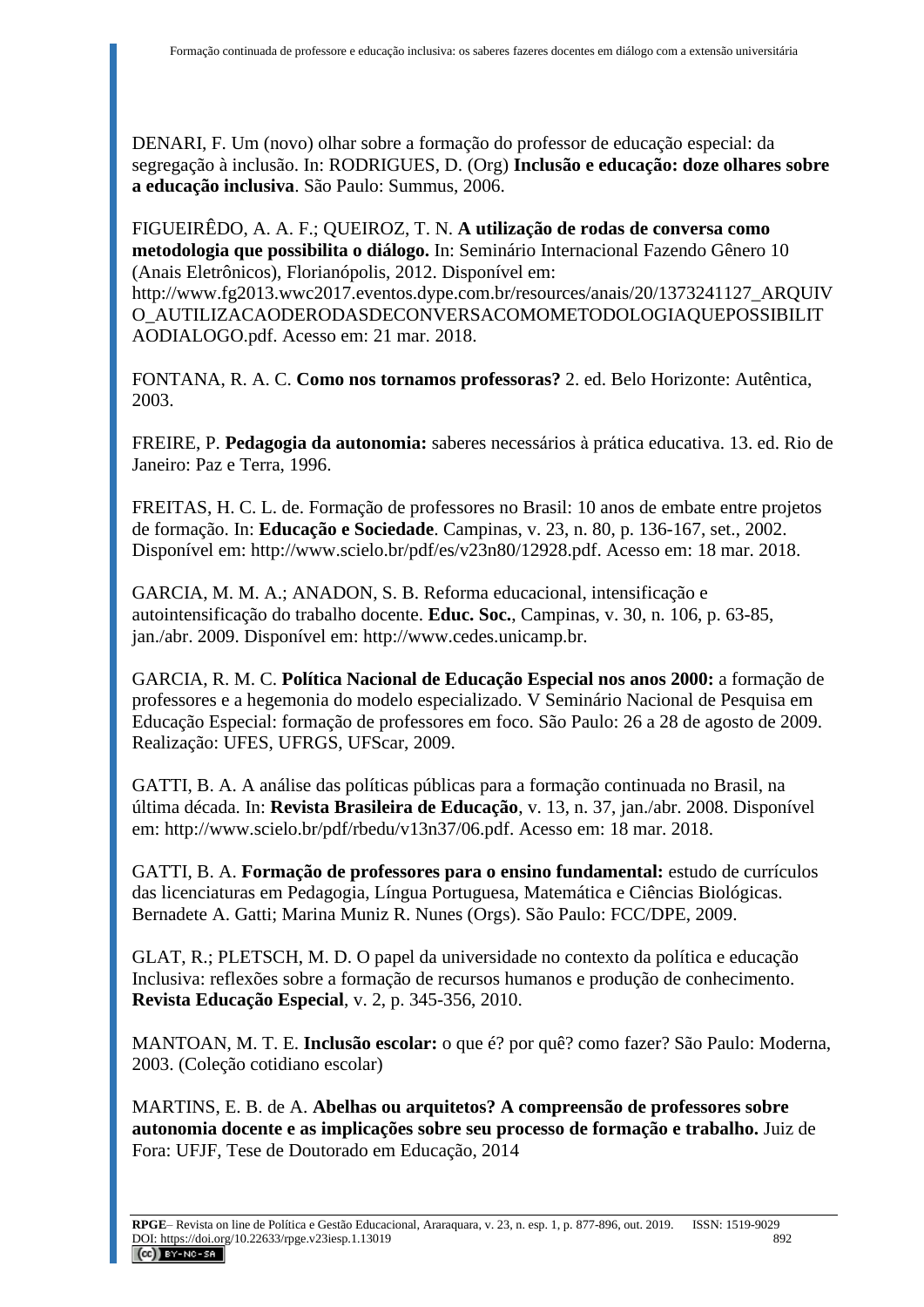DENARI, F. Um (novo) olhar sobre a formação do professor de educação especial: da segregação à inclusão. In: RODRIGUES, D. (Org) **Inclusão e educação: doze olhares sobre a educação inclusiva**. São Paulo: Summus, 2006.

FIGUEIRÊDO, A. A. F.; QUEIROZ, T. N. **A utilização de rodas de conversa como metodologia que possibilita o diálogo.** In: Seminário Internacional Fazendo Gênero 10 (Anais Eletrônicos), Florianópolis, 2012. Disponível em:

[http://www.fg2013.wwc2017.eventos.dype.com.br/resources/anais/20/1373241127\\_ARQUIV](http://www.fg2013.wwc2017.eventos.dype.com.br/resources/anais/20/1373241127_ARQUIVO_AUTILIZACAODERODASDECONVERSACOMOMETODOLOGIAQUEPOSSIBILITAODIALOGO.pdf) [O\\_AUTILIZACAODERODASDECONVERSACOMOMETODOLOGIAQUEPOSSIBILIT](http://www.fg2013.wwc2017.eventos.dype.com.br/resources/anais/20/1373241127_ARQUIVO_AUTILIZACAODERODASDECONVERSACOMOMETODOLOGIAQUEPOSSIBILITAODIALOGO.pdf) [AODIALOGO.pdf.](http://www.fg2013.wwc2017.eventos.dype.com.br/resources/anais/20/1373241127_ARQUIVO_AUTILIZACAODERODASDECONVERSACOMOMETODOLOGIAQUEPOSSIBILITAODIALOGO.pdf) Acesso em: 21 mar. 2018.

FONTANA, R. A. C. **Como nos tornamos professoras?** 2. ed. Belo Horizonte: Autêntica, 2003.

FREIRE, P. **Pedagogia da autonomia:** saberes necessários à prática educativa. 13. ed. Rio de Janeiro: Paz e Terra, 1996.

FREITAS, H. C. L. de. Formação de professores no Brasil: 10 anos de embate entre projetos de formação. In: **Educação e Sociedade**. Campinas, v. 23, n. 80, p. 136-167, set., 2002. Disponível em: [http://www.scielo.br/pdf/es/v23n80/12928.pdf.](http://www.scielo.br/pdf/es/v23n80/12928.pdf) Acesso em: 18 mar. 2018.

GARCIA, M. M. A.; ANADON, S. B. Reforma educacional, intensificação e autointensificação do trabalho docente. **Educ. Soc.**, Campinas, v. 30, n. 106, p. 63-85, jan./abr. 2009. Disponível em: [http://www.cedes.unicamp.br.](http://www.cedes.unicamp.br/)

GARCIA, R. M. C. **Política Nacional de Educação Especial nos anos 2000:** a formação de professores e a hegemonia do modelo especializado. V Seminário Nacional de Pesquisa em Educação Especial: formação de professores em foco. São Paulo: 26 a 28 de agosto de 2009. Realização: UFES, UFRGS, UFScar, 2009.

GATTI, B. A. A análise das políticas públicas para a formação continuada no Brasil, na última década. In: **Revista Brasileira de Educação**, v. 13, n. 37, jan./abr. 2008. Disponível em: [http://www.scielo.br/pdf/rbedu/v13n37/06.pdf.](http://www.scielo.br/pdf/rbedu/v13n37/06.pdf) Acesso em: 18 mar. 2018.

GATTI, B. A. **Formação de professores para o ensino fundamental:** estudo de currículos das licenciaturas em Pedagogia, Língua Portuguesa, Matemática e Ciências Biológicas. Bernadete A. Gatti; Marina Muniz R. Nunes (Orgs). São Paulo: FCC/DPE, 2009.

GLAT, R.; PLETSCH, M. D. O papel da universidade no contexto da política e educação Inclusiva: reflexões sobre a formação de recursos humanos e produção de conhecimento. **Revista Educação Especial**, v. 2, p. 345-356, 2010.

MANTOAN, M. T. E. **Inclusão escolar:** o que é? por quê? como fazer? São Paulo: Moderna, 2003. (Coleção cotidiano escolar)

MARTINS, E. B. de A. **Abelhas ou arquitetos? A compreensão de professores sobre autonomia docente e as implicações sobre seu processo de formação e trabalho.** Juiz de Fora: UFJF, Tese de Doutorado em Educação, 2014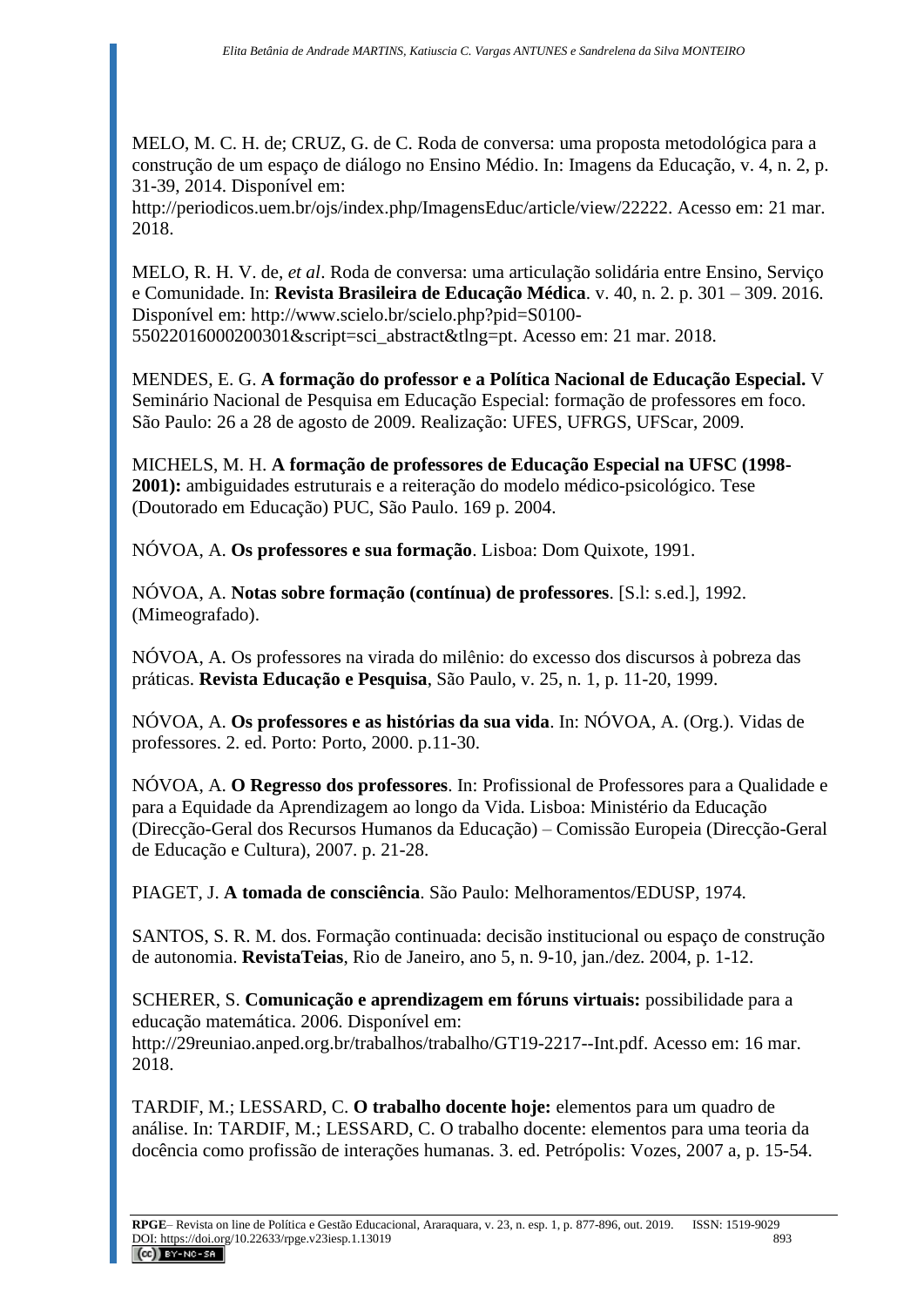MELO, M. C. H. de; CRUZ, G. de C. Roda de conversa: uma proposta metodológica para a construção de um espaço de diálogo no Ensino Médio. In: Imagens da Educação, v. 4, n. 2, p. 31-39, 2014. Disponível em:

[http://periodicos.uem.br/ojs/index.php/ImagensEduc/article/view/22222.](http://periodicos.uem.br/ojs/index.php/ImagensEduc/article/view/22222) Acesso em: 21 mar. 2018.

MELO, R. H. V. de, *et al*. Roda de conversa: uma articulação solidária entre Ensino, Serviço e Comunidade. In: **Revista Brasileira de Educação Médica**. v. 40, n. 2. p. 301 – 309. 2016. Disponível em: [http://www.scielo.br/scielo.php?pid=S0100-](http://www.scielo.br/scielo.php?pid=S0100-55022016000200301&script=sci_abstract&tlng=pt) [55022016000200301&script=sci\\_abstract&tlng=pt.](http://www.scielo.br/scielo.php?pid=S0100-55022016000200301&script=sci_abstract&tlng=pt) Acesso em: 21 mar. 2018.

MENDES, E. G. **A formação do professor e a Política Nacional de Educação Especial.** V Seminário Nacional de Pesquisa em Educação Especial: formação de professores em foco. São Paulo: 26 a 28 de agosto de 2009. Realização: UFES, UFRGS, UFScar, 2009.

MICHELS, M. H. **A formação de professores de Educação Especial na UFSC (1998- 2001):** ambiguidades estruturais e a reiteração do modelo médico-psicológico. Tese (Doutorado em Educação) PUC, São Paulo. 169 p. 2004.

NÓVOA, A. **Os professores e sua formação**. Lisboa: Dom Quixote, 1991.

NÓVOA, A. **Notas sobre formação (contínua) de professores**. [S.l: s.ed.], 1992. (Mimeografado).

NÓVOA, A. Os professores na virada do milênio: do excesso dos discursos à pobreza das práticas. **Revista Educação e Pesquisa**, São Paulo, v. 25, n. 1, p. 11-20, 1999.

NÓVOA, A. **Os professores e as histórias da sua vida**. In: NÓVOA, A. (Org.). Vidas de professores. 2. ed. Porto: Porto, 2000. p.11-30.

NÓVOA, A. **O Regresso dos professores**. In: Profissional de Professores para a Qualidade e para a Equidade da Aprendizagem ao longo da Vida. Lisboa: Ministério da Educação (Direcção-Geral dos Recursos Humanos da Educação) – Comissão Europeia (Direcção-Geral de Educação e Cultura), 2007. p. 21-28.

PIAGET, J. **A tomada de consciência**. São Paulo: Melhoramentos/EDUSP, 1974.

SANTOS, S. R. M. dos. Formação continuada: decisão institucional ou espaço de construção de autonomia. **RevistaTeias**, Rio de Janeiro, ano 5, n. 9-10, jan./dez. 2004, p. 1-12.

SCHERER, S. **Comunicação e aprendizagem em fóruns virtuais:** possibilidade para a educação matemática. 2006. Disponível em: [http://29reuniao.anped.org.br/trabalhos/trabalho/GT19-2217--Int.pdf.](http://29reuniao.anped.org.br/trabalhos/trabalho/GT19-2217--Int.pdf) Acesso em: 16 mar. 2018.

TARDIF, M.; LESSARD, C. **O trabalho docente hoje:** elementos para um quadro de análise. In: TARDIF, M.; LESSARD, C. O trabalho docente: elementos para uma teoria da docência como profissão de interações humanas. 3. ed. Petrópolis: Vozes, 2007 a, p. 15-54.